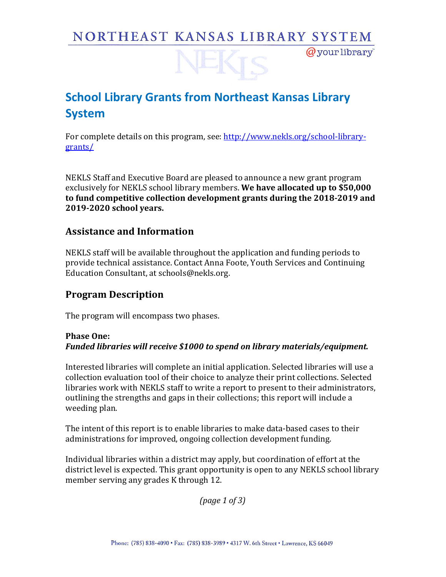# NORTHEAST KANSAS LIBRARY SYSTEM

 $Q$  your library

# **School Library Grants from Northeast Kansas Library System**

For complete details on this program, see: http://www.nekls.org/school-librarygrants/

NEKLS Staff and Executive Board are pleased to announce a new grant program exclusively for NEKLS school library members. We have allocated up to \$50,000 to fund competitive collection development grants during the 2018-2019 and **2019-2020 school years.**

### **Assistance and Information**

NEKLS staff will be available throughout the application and funding periods to provide technical assistance. Contact Anna Foote, Youth Services and Continuing Education Consultant, at schools@nekls.org.

## **Program Description**

The program will encompass two phases.

### **Phase One:** Funded libraries will receive \$1000 to spend on library materials/equipment.

Interested libraries will complete an initial application. Selected libraries will use a collection evaluation tool of their choice to analyze their print collections. Selected libraries work with NEKLS staff to write a report to present to their administrators, outlining the strengths and gaps in their collections; this report will include a weeding plan.

The intent of this report is to enable libraries to make data-based cases to their administrations for improved, ongoing collection development funding.

Individual libraries within a district may apply, but coordination of effort at the district level is expected. This grant opportunity is open to any NEKLS school library member serving any grades K through 12.

*(page 1 of 3)*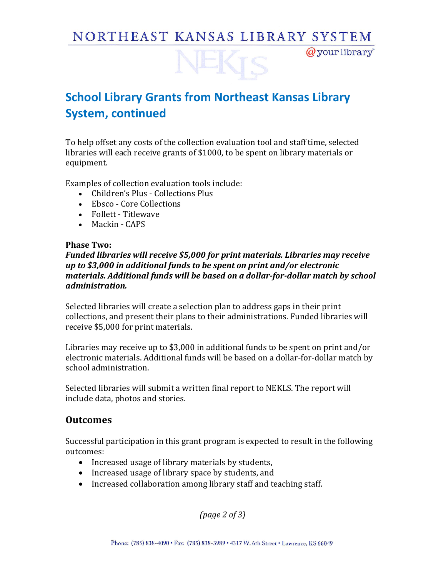# NORTHEAST KANSAS LIBRARY SYSTEM

 $Q$  your library

# **School Library Grants from Northeast Kansas Library System, continued**

To help offset any costs of the collection evaluation tool and staff time, selected libraries will each receive grants of \$1000, to be spent on library materials or equipment. 

Examples of collection evaluation tools include:

- Children's Plus Collections Plus
- Ebsco Core Collections
- Follett Titlewave
- Mackin CAPS

#### **Phase Two:**

#### Funded libraries will receive \$5,000 for print materials. Libraries may receive *up* to \$3,000 in additional funds to be spent on print and/or electronic materials. Additional funds will be based on a dollar-for-dollar match by school *administration.*

Selected libraries will create a selection plan to address gaps in their print collections, and present their plans to their administrations. Funded libraries will receive \$5,000 for print materials.

Libraries may receive up to \$3,000 in additional funds to be spent on print and/or electronic materials. Additional funds will be based on a dollar-for-dollar match by school administration.

Selected libraries will submit a written final report to NEKLS. The report will include data, photos and stories.

### **Outcomes**

Successful participation in this grant program is expected to result in the following outcomes:

- Increased usage of library materials by students,
- Increased usage of library space by students, and
- Increased collaboration among library staff and teaching staff.

*(page 2 of 3)*